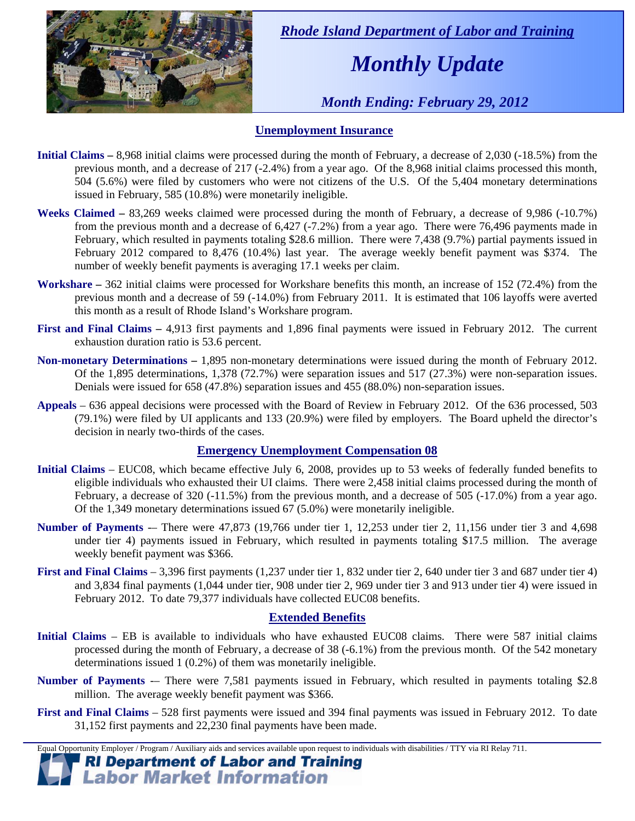

 *Rhode Island Department of Labor and Training* 

# *Monthly Update*

 *Month Ending: February 29, 2012* 

### **Unemployment Insurance**

- **Initial Claims** 8,968 initial claims were processed during the month of February, a decrease of 2,030 (-18.5%) from the previous month, and a decrease of 217 (-2.4%) from a year ago. Of the 8,968 initial claims processed this month, 504 (5.6%) were filed by customers who were not citizens of the U.S. Of the 5,404 monetary determinations issued in February, 585 (10.8%) were monetarily ineligible.
- **Weeks Claimed** 83,269 weeks claimed were processed during the month of February, a decrease of 9,986 (-10.7%) from the previous month and a decrease of 6,427 (-7.2%) from a year ago. There were 76,496 payments made in February, which resulted in payments totaling \$28.6 million. There were 7,438 (9.7%) partial payments issued in February 2012 compared to 8,476 (10.4%) last year. The average weekly benefit payment was \$374. The number of weekly benefit payments is averaging 17.1 weeks per claim.
- **Workshare –** 362 initial claims were processed for Workshare benefits this month, an increase of 152 (72.4%) from the previous month and a decrease of 59 (-14.0%) from February 2011. It is estimated that 106 layoffs were averted this month as a result of Rhode Island's Workshare program.
- **First and Final Claims –** 4,913 first payments and 1,896 final payments were issued in February 2012. The current exhaustion duration ratio is 53.6 percent.
- **Non-monetary Determinations –** 1,895 non-monetary determinations were issued during the month of February 2012. Of the 1,895 determinations, 1,378 (72.7%) were separation issues and 517 (27.3%) were non-separation issues. Denials were issued for 658 (47.8%) separation issues and 455 (88.0%) non-separation issues.
- **Appeals** 636 appeal decisions were processed with the Board of Review in February 2012. Of the 636 processed, 503 (79.1%) were filed by UI applicants and 133 (20.9%) were filed by employers. The Board upheld the director's decision in nearly two-thirds of the cases.

### **Emergency Unemployment Compensation 08**

- **Initial Claims**  EUC08, which became effective July 6, 2008, provides up to 53 weeks of federally funded benefits to eligible individuals who exhausted their UI claims. There were 2,458 initial claims processed during the month of February, a decrease of 320 (-11.5%) from the previous month, and a decrease of 505 (-17.0%) from a year ago. Of the 1,349 monetary determinations issued  $67(5.0%)$  were monetarily ineligible.
- **Number of Payments** -– There were 47,873 (19,766 under tier 1, 12,253 under tier 2, 11,156 under tier 3 and 4,698 under tier 4) payments issued in February, which resulted in payments totaling \$17.5 million. The average weekly benefit payment was \$366.
- **First and Final Claims**  3,396 first payments (1,237 under tier 1, 832 under tier 2, 640 under tier 3 and 687 under tier 4) and 3,834 final payments (1,044 under tier, 908 under tier 2, 969 under tier 3 and 913 under tier 4) were issued in February 2012. To date 79,377 individuals have collected EUC08 benefits.

### **Extended Benefits**

- **Initial Claims**  EB is available to individuals who have exhausted EUC08 claims. There were 587 initial claims processed during the month of February, a decrease of 38 (-6.1%) from the previous month. Of the 542 monetary determinations issued 1 (0.2%) of them was monetarily ineligible.
- **Number of Payments** -– There were 7,581 payments issued in February, which resulted in payments totaling \$2.8 million. The average weekly benefit payment was \$366.
- **First and Final Claims**  528 first payments were issued and 394 final payments was issued in February 2012. To date 31,152 first payments and 22,230 final payments have been made.

Equal Opportunity Employer / Program / Auxiliary aids and services available upon request to individuals with disabilities / TTY via RI Relay 711.

**RI Department of Labor and Training Labor Market Information**